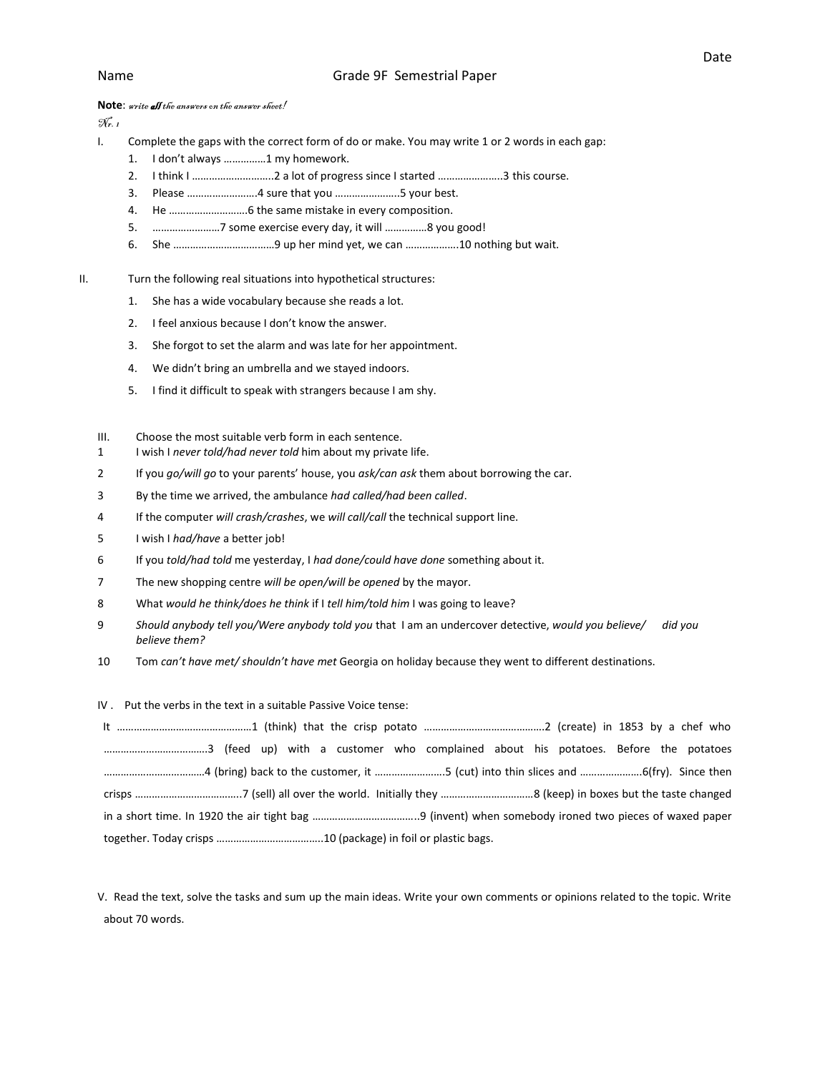## **Note**: write **all** the answers on the answer sheet!

 $\mathcal{N}_{r.}$  1

- I. Complete the gaps with the correct form of do or make. You may write 1 or 2 words in each gap:
	- 1. I don't always ……………1 my homework.
	- 2. I think I ………………………..2 a lot of progress since I started …………………..3 this course.
	- 3. Please …………………….4 sure that you …………………..5 your best.
	- 4. He ……………………….6 the same mistake in every composition.
	- 5. ……………………7 some exercise every day, it will ……………8 you good!
	- 6. She ………………………………9 up her mind yet, we can ……………….10 nothing but wait.
- II. Turn the following real situations into hypothetical structures:
	- 1. She has a wide vocabulary because she reads a lot.
	- 2. I feel anxious because I don't know the answer.
	- 3. She forgot to set the alarm and was late for her appointment.
	- 4. We didn't bring an umbrella and we stayed indoors.
	- 5. I find it difficult to speak with strangers because I am shy.
	- III. Choose the most suitable verb form in each sentence.
	- 1 I wish I *never told/had never told* him about my private life.
	- 2 If you *go/will go* to your parents' house, you *ask/can ask* them about borrowing the car.
	- 3 By the time we arrived, the ambulance *had called/had been called*.
	- 4 If the computer *will crash/crashes*, we *will call/call* the technical support line.
	- 5 I wish I *had/have* a better job!
	- 6 If you *told/had told* me yesterday, I *had done/could have done* something about it.
	- 7 The new shopping centre *will be open/will be opened* by the mayor.
	- 8 What *would he think/does he think* if I *tell him/told him* I was going to leave?
	- 9 *Should anybody tell you/Were anybody told you* that I am an undercover detective, *would you believe/ did you believe them?*
	- 10 Tom *can't have met/ shouldn't have met* Georgia on holiday because they went to different destinations.

## IV . Put the verbs in the text in a suitable Passive Voice tense:

V. Read the text, solve the tasks and sum up the main ideas. Write your own comments or opinions related to the topic. Write about 70 words.